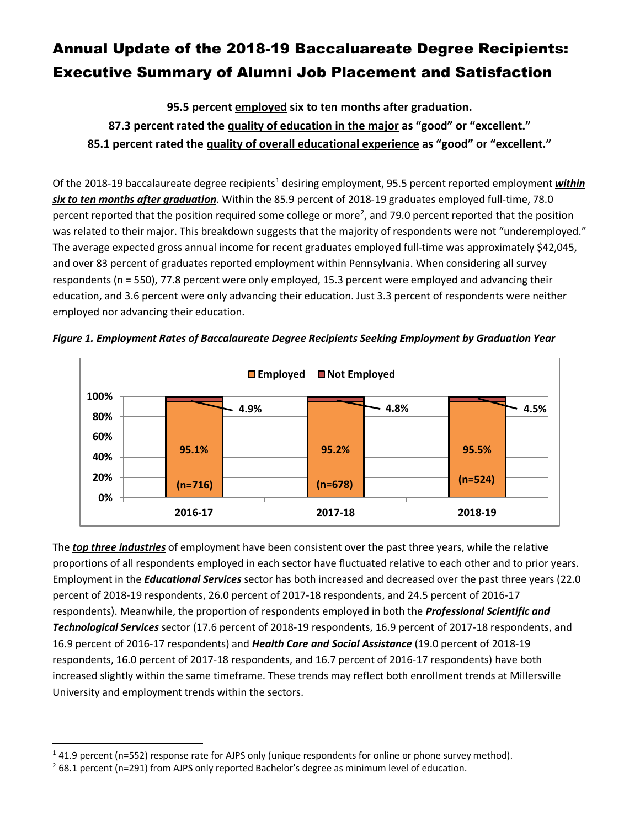## Annual Update of the 2018-19 Baccaluareate Degree Recipients: Executive Summary of Alumni Job Placement and Satisfaction

**95.5 percent employed six to ten months after graduation.**

**87.3 percent rated the quality of education in the major as "good" or "excellent." 85.1 percent rated the quality of overall educational experience as "good" or "excellent."**

Of the 20[1](#page-0-0)8-19 baccalaureate degree recipients<sup>1</sup> desiring employment, 95.5 percent reported employment *within six to ten months after graduation*. Within the 85.9 percent of 2018-19 graduates employed full-time, 78.0 percent reported that the position required some college or more<sup>[2](#page-0-1)</sup>, and 79.0 percent reported that the position was related to their major. This breakdown suggests that the majority of respondents were not "underemployed." The average expected gross annual income for recent graduates employed full-time was approximately \$42,045, and over 83 percent of graduates reported employment within Pennsylvania. When considering all survey respondents (n = 550), 77.8 percent were only employed, 15.3 percent were employed and advancing their education, and 3.6 percent were only advancing their education. Just 3.3 percent of respondents were neither employed nor advancing their education.





The *top three industries* of employment have been consistent over the past three years, while the relative proportions of all respondents employed in each sector have fluctuated relative to each other and to prior years. Employment in the *Educational Services* sector has both increased and decreased over the past three years (22.0 percent of 2018-19 respondents, 26.0 percent of 2017-18 respondents, and 24.5 percent of 2016-17 respondents). Meanwhile, the proportion of respondents employed in both the *Professional Scientific and Technological Services* sector (17.6 percent of 2018-19 respondents, 16.9 percent of 2017-18 respondents, and 16.9 percent of 2016-17 respondents) and *Health Care and Social Assistance* (19.0 percent of 2018-19 respondents, 16.0 percent of 2017-18 respondents, and 16.7 percent of 2016-17 respondents) have both increased slightly within the same timeframe. These trends may reflect both enrollment trends at Millersville University and employment trends within the sectors.

<span id="page-0-0"></span><sup>&</sup>lt;sup>1</sup> 41.9 percent (n=552) response rate for AJPS only (unique respondents for online or phone survey method).<br><sup>2</sup> 68.1 percent (n=291) from AJPS only reported Bachelor's degree as minimum level of education.

<span id="page-0-1"></span>